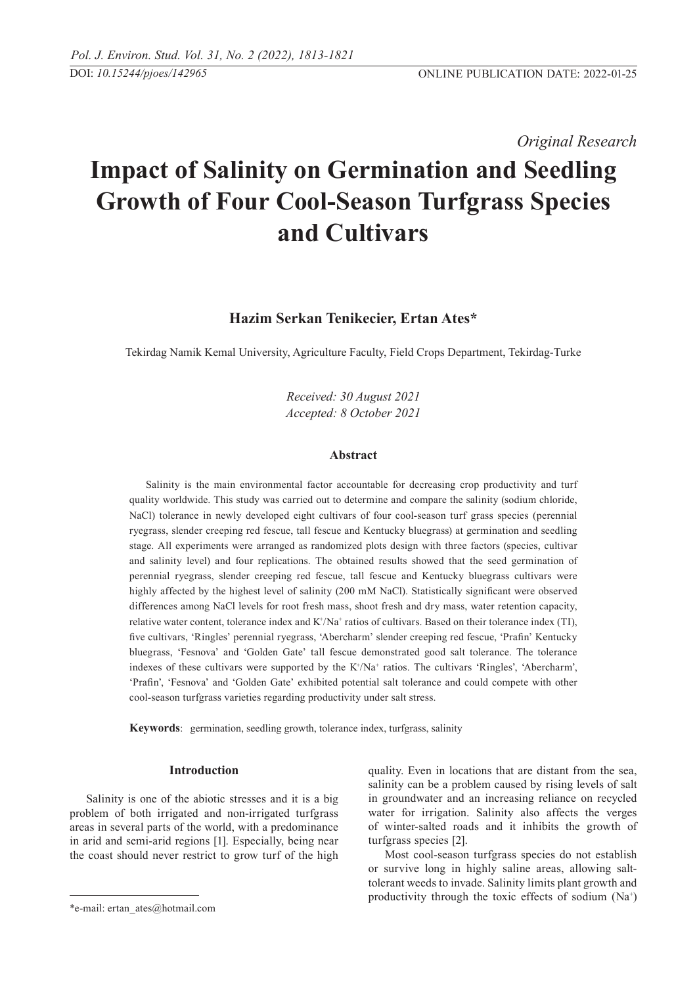*Original Research* 

# **Impact of Salinity on Germination and Seedling Growth of Four Cool-Season Turfgrass Species and Cultivars**

# **Hazim Serkan Tenikecier, Ertan Ates\***

Tekirdag Namik Kemal University, Agriculture Faculty, Field Crops Department, Tekirdag-Turke

*Received: 30 August 2021 Accepted: 8 October 2021*

# **Abstract**

Salinity is the main environmental factor accountable for decreasing crop productivity and turf quality worldwide. This study was carried out to determine and compare the salinity (sodium chloride, NaCl) tolerance in newly developed eight cultivars of four cool-season turf grass species (perennial ryegrass, slender creeping red fescue, tall fescue and Kentucky bluegrass) at germination and seedling stage. All experiments were arranged as randomized plots design with three factors (species, cultivar and salinity level) and four replications. The obtained results showed that the seed germination of perennial ryegrass, slender creeping red fescue, tall fescue and Kentucky bluegrass cultivars were highly affected by the highest level of salinity (200 mM NaCl). Statistically significant were observed differences among NaCl levels for root fresh mass, shoot fresh and dry mass, water retention capacity, relative water content, tolerance index and  $K^+/Na^+$  ratios of cultivars. Based on their tolerance index (TI), five cultivars, 'Ringles' perennial ryegrass, 'Abercharm' slender creeping red fescue, 'Prafin' Kentucky bluegrass, 'Fesnova' and 'Golden Gate' tall fescue demonstrated good salt tolerance. The tolerance indexes of these cultivars were supported by the  $K^{\dagger}/Na^{\dagger}$  ratios. The cultivars 'Ringles', 'Abercharm', 'Prafin', 'Fesnova' and 'Golden Gate' exhibited potential salt tolerance and could compete with other cool-season turfgrass varieties regarding productivity under salt stress.

**Keywords**: germination, seedling growth, tolerance index, turfgrass, salinity

# **Introduction**

Salinity is one of the abiotic stresses and it is a big problem of both irrigated and non-irrigated turfgrass areas in several parts of the world, with a predominance in arid and semi-arid regions [1]. Especially, being near the coast should never restrict to grow turf of the high quality. Even in locations that are distant from the sea, salinity can be a problem caused by rising levels of salt in groundwater and an increasing reliance on recycled water for irrigation. Salinity also affects the verges of winter-salted roads and it inhibits the growth of turfgrass species [2].

Most cool-season turfgrass species do not establish or survive long in highly saline areas, allowing salttolerant weeds to invade. Salinity limits plant growth and productivity through the toxic effects of sodium  $(Na^+)$ 

<sup>\*</sup>e-mail: ertan\_ates@hotmail.com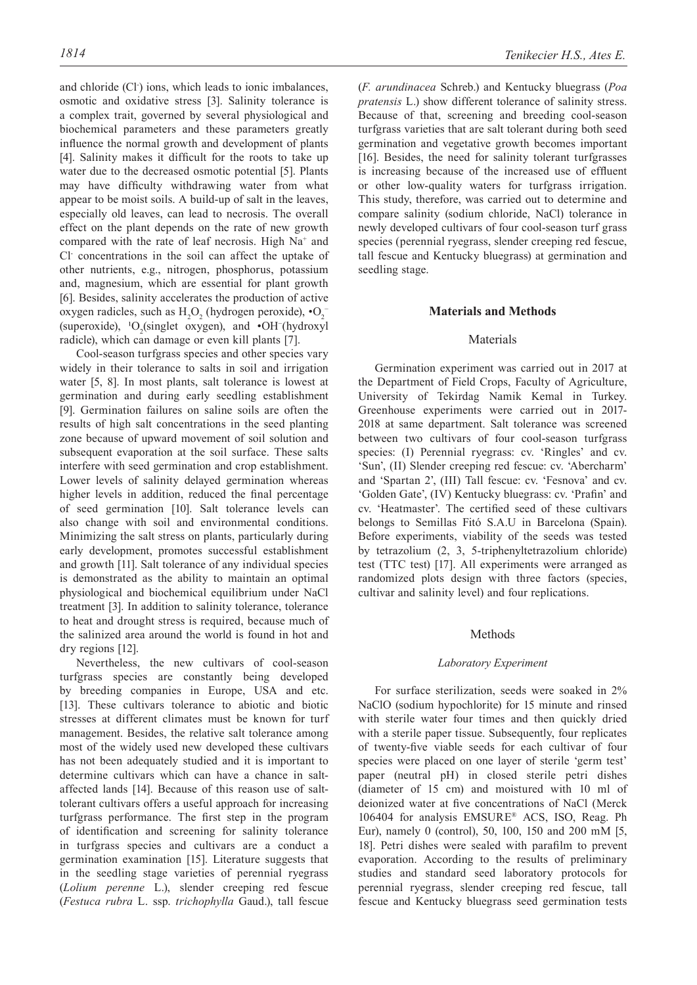and chloride (Cl<sup>-</sup>) ions, which leads to ionic imbalances, osmotic and oxidative stress [3]. Salinity tolerance is a complex trait, governed by several physiological and biochemical parameters and these parameters greatly influence the normal growth and development of plants [4]. Salinity makes it difficult for the roots to take up water due to the decreased osmotic potential [5]. Plants may have difficulty withdrawing water from what appear to be moist soils. A build-up of salt in the leaves, especially old leaves, can lead to necrosis. The overall effect on the plant depends on the rate of new growth compared with the rate of leaf necrosis. High Na<sup>+</sup> and Cl- concentrations in the soil can affect the uptake of other nutrients, e.g., nitrogen, phosphorus, potassium and, magnesium, which are essential for plant growth [6]. Besides, salinity accelerates the production of active oxygen radicles, such as  $H_2O_2$  (hydrogen peroxide),  $\cdot O_2^-$ (superoxide), <sup>1</sup>O<sub>2</sub>(singlet oxygen), and  $\cdot$ OH<sup>-</sup>(hydroxyl radicle), which can damage or even kill plants [7].

Cool-season turfgrass species and other species vary widely in their tolerance to salts in soil and irrigation water [5, 8]. In most plants, salt tolerance is lowest at germination and during early seedling establishment [9]. Germination failures on saline soils are often the results of high salt concentrations in the seed planting zone because of upward movement of soil solution and subsequent evaporation at the soil surface. These salts interfere with seed germination and crop establishment. Lower levels of salinity delayed germination whereas higher levels in addition, reduced the final percentage of seed germination [10]. Salt tolerance levels can also change with soil and environmental conditions. Minimizing the salt stress on plants, particularly during early development, promotes successful establishment and growth [11]. Salt tolerance of any individual species is demonstrated as the ability to maintain an optimal physiological and biochemical equilibrium under NaCl treatment [3]. In addition to salinity tolerance, tolerance to heat and drought stress is required, because much of the salinized area around the world is found in hot and dry regions [12].

Nevertheless, the new cultivars of cool-season turfgrass species are constantly being developed by breeding companies in Europe, USA and etc. [13]. These cultivars tolerance to abiotic and biotic stresses at different climates must be known for turf management. Besides, the relative salt tolerance among most of the widely used new developed these cultivars has not been adequately studied and it is important to determine cultivars which can have a chance in saltaffected lands [14]. Because of this reason use of salttolerant cultivars offers a useful approach for increasing turfgrass performance. The first step in the program of identification and screening for salinity tolerance in turfgrass species and cultivars are a conduct a germination examination [15]. Literature suggests that in the seedling stage varieties of perennial ryegrass (*Lolium perenne* L.), slender creeping red fescue (*Festuca rubra* L. ssp. *trichophylla* Gaud.), tall fescue (*F. arundinacea* Schreb.) and Kentucky bluegrass (*Poa pratensis* L.) show different tolerance of salinity stress. Because of that, screening and breeding cool-season turfgrass varieties that are salt tolerant during both seed germination and vegetative growth becomes important [16]. Besides, the need for salinity tolerant turfgrasses is increasing because of the increased use of effluent or other low-quality waters for turfgrass irrigation. This study, therefore, was carried out to determine and compare salinity (sodium chloride, NaCl) tolerance in newly developed cultivars of four cool-season turf grass species (perennial ryegrass, slender creeping red fescue, tall fescue and Kentucky bluegrass) at germination and seedling stage.

## **Materials and Methods**

## Materials

Germination experiment was carried out in 2017 at the Department of Field Crops, Faculty of Agriculture, University of Tekirdag Namik Kemal in Turkey. Greenhouse experiments were carried out in 2017- 2018 at same department. Salt tolerance was screened between two cultivars of four cool-season turfgrass species: (I) Perennial ryegrass: cv. 'Ringles' and cv. 'Sun', (II) Slender creeping red fescue: cv. 'Abercharm' and 'Spartan 2', (III) Tall fescue: cv. 'Fesnova' and cv. 'Golden Gate', (IV) Kentucky bluegrass: cv. 'Prafin' and cv. 'Heatmaster'. The certified seed of these cultivars belongs to Semillas Fitó S.A.U in Barcelona (Spain). Before experiments, viability of the seeds was tested by tetrazolium (2, 3, 5-triphenyltetrazolium chloride) test (TTC test) [17]. All experiments were arranged as randomized plots design with three factors (species, cultivar and salinity level) and four replications.

## Methods

#### *Laboratory Experiment*

For surface sterilization, seeds were soaked in 2% NaClO (sodium hypochlorite) for 15 minute and rinsed with sterile water four times and then quickly dried with a sterile paper tissue. Subsequently, four replicates of twenty-five viable seeds for each cultivar of four species were placed on one layer of sterile 'germ test' paper (neutral pH) in closed sterile petri dishes (diameter of 15 cm) and moistured with 10 ml of deionized water at five concentrations of NaCl (Merck 106404 for analysis EMSURE® ACS, ISO, Reag. Ph Eur), namely 0 (control), 50, 100, 150 and 200 mM [5, 18]. Petri dishes were sealed with parafilm to prevent evaporation. According to the results of preliminary studies and standard seed laboratory protocols for perennial ryegrass, slender creeping red fescue, tall fescue and Kentucky bluegrass seed germination tests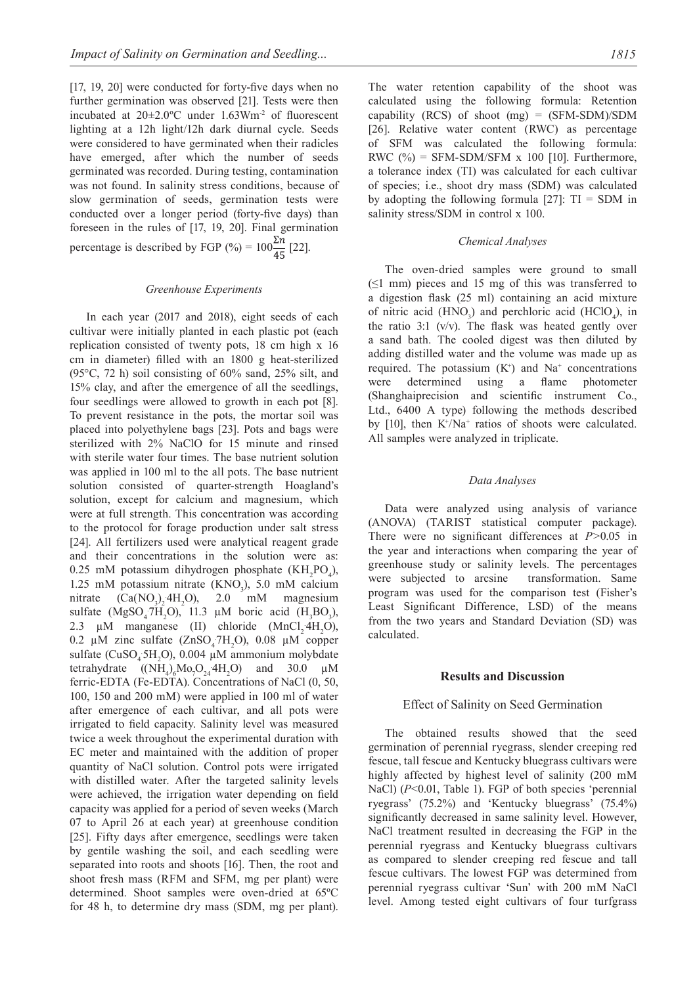[17, 19, 20] were conducted for forty-five days when no further germination was observed [21]. Tests were then incubated at 20±2.0ºC under 1.63Wm-2 of fluorescent lighting at a 12h light/12h dark diurnal cycle. Seeds were considered to have germinated when their radicles have emerged, after which the number of seeds germinated was recorded. During testing, contamination was not found. In salinity stress conditions, because of slow germination of seeds, germination tests were conducted over a longer period (forty-five days) than foreseen in the rules of [17, 19, 20]. Final germination percentage is described by FGP (%) =  $100\frac{\Sigma n}{45}$  [22].

#### *Greenhouse Experiments*

In each year (2017 and 2018), eight seeds of each cultivar were initially planted in each plastic pot (each replication consisted of twenty pots, 18 cm high x 16 cm in diameter) filled with an 1800 g heat-sterilized (95°C, 72 h) soil consisting of 60% sand, 25% silt, and 15% clay, and after the emergence of all the seedlings, four seedlings were allowed to growth in each pot [8]. To prevent resistance in the pots, the mortar soil was placed into polyethylene bags [23]. Pots and bags were sterilized with 2% NaClO for 15 minute and rinsed with sterile water four times. The base nutrient solution was applied in 100 ml to the all pots. The base nutrient solution consisted of quarter-strength Hoagland's solution, except for calcium and magnesium, which were at full strength. This concentration was according to the protocol for forage production under salt stress [24]. All fertilizers used were analytical reagent grade and their concentrations in the solution were as: 0.25 mM potassium dihydrogen phosphate  $(KH_2PO_4)$ , 1.25 mM potassium nitrate  $(KNO<sub>3</sub>)$ , 5.0 mM calcium nitrate  $(Ca(NO<sub>3</sub>)<sub>2</sub> 4H<sub>2</sub>)$ 2.0 mM magnesium sulfate (MgSO<sub>4</sub>7H<sub>2</sub>O), 11.3  $\mu$ M boric acid (H<sub>3</sub>BO<sub>3</sub>), 2.3  $\mu$ M manganese (II) chloride (MnCl<sub>2</sub>·4H<sub>2</sub>O), 0.2  $\mu$ M zinc sulfate (ZnSO<sub>4</sub>7H<sub>2</sub>O), 0.08  $\mu$ M copper sulfate ( $CuSO<sub>4</sub>5H<sub>2</sub>O$ ), 0.004  $\mu$ M ammonium molybdate tetrahydrate  $((NH_4)_6Mo_7O_{24}4H_2O)$  and 30.0  $\mu$ M ferric-EDTA (Fe-EDTA). Concentrations of NaCl (0, 50, 100, 150 and 200 mM) were applied in 100 ml of water after emergence of each cultivar, and all pots were irrigated to field capacity. Salinity level was measured twice a week throughout the experimental duration with EC meter and maintained with the addition of proper quantity of NaCl solution. Control pots were irrigated with distilled water. After the targeted salinity levels were achieved, the irrigation water depending on field capacity was applied for a period of seven weeks (March 07 to April 26 at each year) at greenhouse condition [25]. Fifty days after emergence, seedlings were taken by gentile washing the soil, and each seedling were separated into roots and shoots [16]. Then, the root and shoot fresh mass (RFM and SFM, mg per plant) were determined. Shoot samples were oven-dried at 65ºC for 48 h, to determine dry mass (SDM, mg per plant).

The water retention capability of the shoot was calculated using the following formula: Retention capability (RCS) of shoot (mg) = (SFM-SDM)/SDM [26]. Relative water content (RWC) as percentage of SFM was calculated the following formula: RWC  $(\%)$  = SFM-SDM/SFM x 100 [10]. Furthermore, a tolerance index (TI) was calculated for each cultivar of species; i.e., shoot dry mass (SDM) was calculated by adopting the following formula  $[27]$ :  $TI = SDM$  in salinity stress/SDM in control x 100.

#### *Chemical Analyses*

The oven-dried samples were ground to small  $(\leq 1$  mm) pieces and 15 mg of this was transferred to a digestion flask (25 ml) containing an acid mixture of nitric acid (HNO<sub>3</sub>) and perchloric acid (HClO<sub>4</sub>), in the ratio 3:1 (v/v). The flask was heated gently over a sand bath. The cooled digest was then diluted by adding distilled water and the volume was made up as required. The potassium  $(K^+)$  and  $Na^+$  concentrations were determined using a flame photometer (Shanghaiprecision and scientific instrument Co., Ltd., 6400 A type) following the methods described by  $[10]$ , then  $K^{\dagger}/Na^{\dagger}$  ratios of shoots were calculated. All samples were analyzed in triplicate.

#### *Data Analyses*

Data were analyzed using analysis of variance (ANOVA) (TARIST statistical computer package). There were no significant differences at *P>*0.05 in the year and interactions when comparing the year of greenhouse study or salinity levels. The percentages were subjected to arcsine transformation. Same program was used for the comparison test (Fisher's Least Significant Difference, LSD) of the means from the two years and Standard Deviation (SD) was calculated.

## **Results and Discussion**

#### Effect of Salinity on Seed Germination

The obtained results showed that the seed germination of perennial ryegrass, slender creeping red fescue, tall fescue and Kentucky bluegrass cultivars were highly affected by highest level of salinity (200 mM NaCl) (*P*<0.01, Table 1). FGP of both species 'perennial ryegrass' (75.2%) and 'Kentucky bluegrass' (75.4%) significantly decreased in same salinity level. However, NaCl treatment resulted in decreasing the FGP in the perennial ryegrass and Kentucky bluegrass cultivars as compared to slender creeping red fescue and tall fescue cultivars. The lowest FGP was determined from perennial ryegrass cultivar 'Sun' with 200 mM NaCl level. Among tested eight cultivars of four turfgrass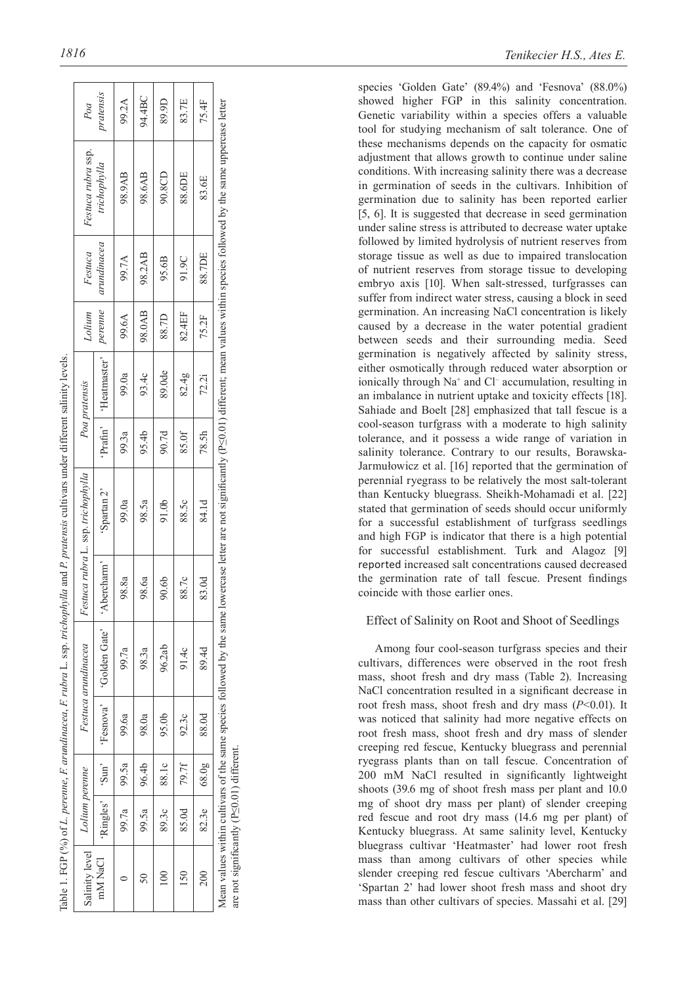|                                                                                                                           | i<br>I                                |
|---------------------------------------------------------------------------------------------------------------------------|---------------------------------------|
|                                                                                                                           | I<br>ļ                                |
|                                                                                                                           | un                                    |
|                                                                                                                           |                                       |
|                                                                                                                           | i<br>くてい<br>ļ                         |
| r<br>C<br>֦֦֦֦֦֦֦֧֧֧֧֧֧֧֧֧ׅ֧֦֧֦֧֦֧֦֧֧֛֚֚֚֚֚֚֚֚֚֚֚֚֚֚֚֚֚֡֝֝֝֝֝֝֝֝֝֟֓֟֓֝֟֓֝֟֓֝֟֓֝֟֓֝֟֓֝֟֓֝֬֜֜<br>16.42<br>SS .<br>co cripti | nn<br>š<br>j<br>くういき<br>I             |
| $\frac{1}{2}$<br>١<br>i                                                                                                   | i                                     |
| is in<br>i<br>.<br>able                                                                                                   | $r$   $PVP$ ]<br>salinit <sup>r</sup> |

*Lolium perenne Festuca arundinacea Festuca rubra* L*.* ssp. *trichophylla Poa pratensis Lolium* 

Salinity level

Salinity level

| mM NaCl                                   |       |               |                         | 'Ringles'   'Sun'   'Fesnova'   'Golden Gate'   'Abercharm' |       | 'Spartan 2' |       | 'Prafin'   'Heatmaster'   <i>perenne</i> |        | arundinacea | trichophylla                                                                                                                                                                                      | pratensis |
|-------------------------------------------|-------|---------------|-------------------------|-------------------------------------------------------------|-------|-------------|-------|------------------------------------------|--------|-------------|---------------------------------------------------------------------------------------------------------------------------------------------------------------------------------------------------|-----------|
|                                           | 99.7a | $-89.5a$      | 99.6a                   | 99.7a                                                       | 98.8a | 99.0a       | 99.3a | 99.0a                                    | 99.6A  | 99.7A       | 98.9AB                                                                                                                                                                                            | 99.2A     |
| $\overline{50}$                           |       | 99.5a   96.4b | 98.0a                   | 98.3a                                                       | 98.6a | 98.5a       | 95.4b | 93.4c                                    | 98.0AB | 98.2AB      | 98.6AB                                                                                                                                                                                            | 94.4BC    |
|                                           | 89.30 | 88.1c         | 95.0b                   | 96.2ab                                                      | 90.6b | 91.0b       | 90.7d | 89.0de                                   | 88.7D  | 95.6B       | 90.8CD                                                                                                                                                                                            | 89.9D     |
| 150                                       | 85.0d | 79.7f         | 92.3c                   | 91.4c                                                       | 88.7c | 88.5c       | 85.0f | 82.4g                                    | 82.4EF | 91.9C       | 88.6DE                                                                                                                                                                                            | 83.7E     |
| 200                                       |       |               | 82.3e   $68.0g$   88.0d | 89.4d                                                       | 83.0d | 84.1d       | 78.5h | 72.2i                                    | 75.2F  | 88.7DE      | 83.6E                                                                                                                                                                                             | 75.4F     |
| are not significantly (P<0.01) different. |       |               |                         |                                                             |       |             |       |                                          |        |             | Aean values within cultivars of the same species followed by the same lowercase letter are not significantly (PS0.01) different; mean values within species followed by the same uppercase letter |           |

showed higher FGP in this salinity concentration. Genetic variability within a species offers a valuable tool for studying mechanism of salt tolerance. One of these mechanisms depends on the capacity for osmatic adjustment that allows growth to continue under saline conditions. With increasing salinity there was a decrease in germination of seeds in the cultivars. Inhibition of germination due to salinity has been reported earlier [5, 6]. It is suggested that decrease in seed germination under saline stress is attributed to decrease water uptake followed by limited hydrolysis of nutrient reserves from storage tissue as well as due to impaired translocation of nutrient reserves from storage tissue to developing embryo axis [10]. When salt-stressed, turfgrasses can suffer from indirect water stress, causing a block in seed germination. An increasing NaCl concentration is likely caused by a decrease in the water potential gradient between seeds and their surrounding media. Seed germination is negatively affected by salinity stress, either osmotically through reduced water absorption or ionically through Na<sup>+</sup> and Cl<sup>-</sup> accumulation, resulting in an imbalance in nutrient uptake and toxicity effects [18]. Sahiade and Boelt [28] emphasized that tall fescue is a cool-season turfgrass with a moderate to high salinity tolerance, and it possess a wide range of variation in salinity tolerance. Contrary to our results, Borawska-Jarmułowicz et al. [16] reported that the germination of perennial ryegrass to be relatively the most salt-tolerant than Kentucky bluegrass. Sheikh-Mohamadi et al. [22] stated that germination of seeds should occur uniformly for a successful establishment of turfgrass seedlings and high FGP is indicator that there is a high potential for successful establishment. Turk and Alagoz [9] reported increased salt concentrations caused decreased the germination rate of tall fescue. Present findings coincide with those earlier ones.

species 'Golden Gate' (89.4%) and 'Fesnova' (88.0%)

# Effect of Salinity on Root and Shoot of Seedlings

Among four cool-season turfgrass species and their cultivars, differences were observed in the root fresh mass, shoot fresh and dry mass (Table 2). Increasing NaCl concentration resulted in a significant decrease in root fresh mass, shoot fresh and dry mass (*P*<0.01). It was noticed that salinity had more negative effects on root fresh mass, shoot fresh and dry mass of slender creeping red fescue, Kentucky bluegrass and perennial ryegrass plants than on tall fescue. Concentration of 200 mM NaCl resulted in significantly lightweight shoots (39.6 mg of shoot fresh mass per plant and 10.0 mg of shoot dry mass per plant) of slender creeping red fescue and root dry mass (14.6 mg per plant) of Kentucky bluegrass. At same salinity level, Kentucky bluegrass cultivar 'Heatmaster' had lower root fresh mass than among cultivars of other species while slender creeping red fescue cultivars 'Abercharm' and 'Spartan 2' had lower shoot fresh mass and shoot dry mass than other cultivars of species. Massahi et al. [29]

*Festuca* 

Lolium

*Festuca rubra* ssp.

Festuca rubra ssp.

*Poa*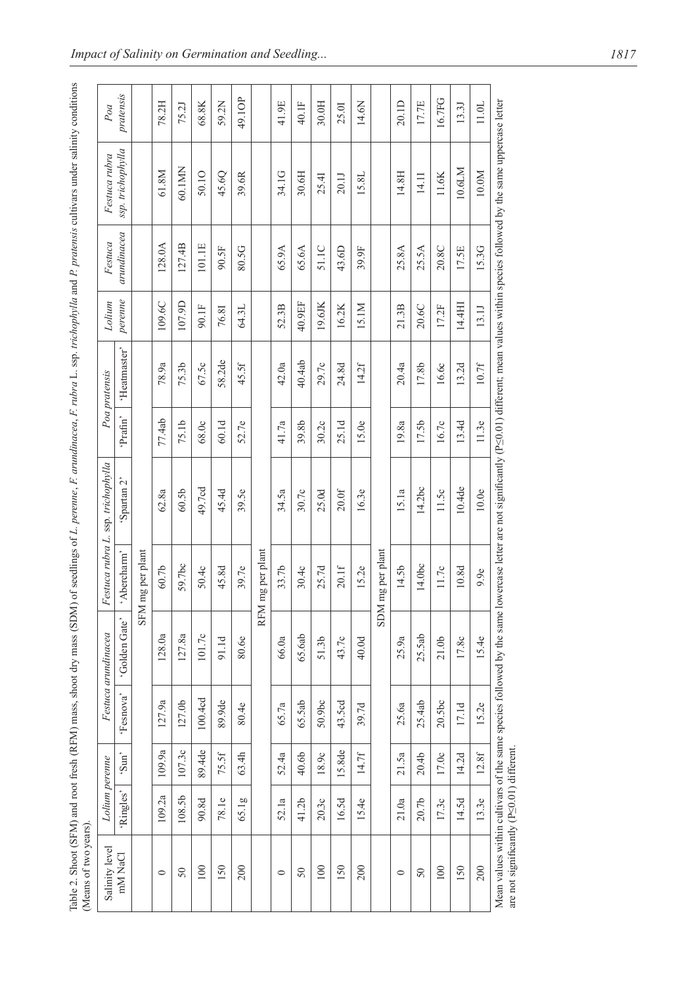| <br>$\mathbf{r}$<br>i<br>whi babitlight because of the pro-      |  |
|------------------------------------------------------------------|--|
| ı<br>ļ<br>noquint use l<br>.<br>נ                                |  |
| $\frac{1}{2}$<br>L' raib<br>ļ<br>ļ                               |  |
| $\sim$ H $\sim$<br>l<br>$\ddot{\phantom{0}}$<br>l<br>)<br>2<br>l |  |
| $\overline{a}$<br>í<br>ĺ<br>È<br>ľ<br>י המתמש                    |  |
| i<br>E                                                           |  |
| ن<br>-<br>-                                                      |  |

| Salinity level                                  | Lolium perenne |                   |           | Festuca arundinacea                                                   |              | Festuca rubra L. ssp. trichophylla |         | Poa pratensis | Lolium  | Festuca     | Festuca rubra                                                                                                              | Poa       |
|-------------------------------------------------|----------------|-------------------|-----------|-----------------------------------------------------------------------|--------------|------------------------------------|---------|---------------|---------|-------------|----------------------------------------------------------------------------------------------------------------------------|-----------|
| mM NaCl                                         | 'Ringles'      | 'Sun'             | 'Fesnova' | 'Golden Gate'                                                         | 'Abercharm'  | Spartan 2 <sup>-</sup>             | Prafin' | 'Heatmaster'  | perenne | arundinacea | ssp. trichophylla                                                                                                          | pratensis |
|                                                 |                |                   |           | <b>NHS</b>                                                            | mg per plant |                                    |         |               |         |             |                                                                                                                            |           |
| $\circ$                                         | 109.2a         | 109.9a            | 127.9a    | 128.0a                                                                | $60.7b$      | 62.8a                              | 77.4ab  | 78.9a         | 109.6C  | 128.0A      | 61.8M                                                                                                                      | 78.2H     |
| 50                                              | 108.5b         | 107.3c            | 127.0b    | 127.8a                                                                | 59.7bc       | 60.5b                              | 75.1b   | 75.3b         | 107.9D  | 127.4B      | 60.1MN                                                                                                                     | 75.21     |
| 100                                             | 90.8d          | 89.4de            | 100.4cd   | 101.7c                                                                | 50.4c        | 49.7cd                             | 68.0c   | 67.5c         | 90.1F   | 101.1E      | 50.10                                                                                                                      | 68.8K     |
| 150                                             | 78.1e          | 75.5f             | 89.9de    | 91.1d                                                                 | 45.8d        | 45.4d                              | 60.1d   | 58.2de        | 76.81   | 90.5F       | 45.6Q                                                                                                                      | 59.2N     |
| 200                                             | 65.1g          | 63.4h             | 80.4e     | 80.6e                                                                 | 39.7e        | 39.5e                              | 52.7e   | 45.5f         | 64.3L   | 80.5G       | 39.6R                                                                                                                      | 49.1OP    |
|                                                 |                |                   |           | <b>RFM</b>                                                            | mg per plant |                                    |         |               |         |             |                                                                                                                            |           |
| $\circ$                                         | 52.1a          | 52.4a             | 65.7a     | 66.0a                                                                 | 33.7b        | 34.5a                              | 41.7a   | 42.0a         | 52.3B   | 65.9A       | 34.1G                                                                                                                      | 41.9E     |
| 50                                              | 41.2b          | 40.6b             | 65.5ab    | 65.6ab                                                                | 30.4c        | 30.7c                              | 39.8b   | 40.4ab        | 40.9EF  | 65.6A       | 30.6H                                                                                                                      | 40.1F     |
| 100                                             | 20.3c          | 18.9c             | 50.9bc    | 51.3 <sub>b</sub>                                                     | 25.7d        | 25.0d                              | 30.2c   | 29.7c         | 19.6JK  | 51.1C       | 25.41                                                                                                                      | 30.0H     |
| 150                                             | 16.5d          | 15.8de            | 43.5cd    | 43.7c                                                                 | 20.1f        | 20.0f                              | 25.1d   | 24.8d         | 16.2K   | 43.6D       | 20.1J                                                                                                                      | 25.01     |
| 200                                             | 15.4e          | 14.7f             | 39.7d     | 40.0d                                                                 | 15.2e        | 16.3e                              | 15.0e   | 14.2f         | 15.1M   | 39.9F       | 15.8L                                                                                                                      | 14.6N     |
|                                                 |                |                   |           | <b>NICIS</b>                                                          | mg per plant |                                    |         |               |         |             |                                                                                                                            |           |
| $\circ$                                         | 21.0a          | 21.5a             | 25.6a     | 25.9a                                                                 | 14.5b        | 15.1a                              | 19.8a   | 20.4a         | 21.3B   | 25.8A       | 14.8H                                                                                                                      | 20.1D     |
| 50                                              | 20.7b          | 20.4 <sub>b</sub> | 25.4ab    | 25.5ab                                                                | 14.0bc       | 14.2bc                             | 17.5b   | 17.8b         | 20.6C   | 25.5A       | 14.11                                                                                                                      | 17.7E     |
| 100                                             | 17.3c          | 17.0c             | 20.5bc    | 21.0 <sub>b</sub>                                                     | 11.7c        | 11.5c                              | 16.7c   | 16.6c         | 17.2F   | 20.8C       | $11.6K$                                                                                                                    | 16.7FG    |
| 150                                             | 14.5d          | 14.2d             | 17.1d     | 17.8c                                                                 | 10.8d        | 10.4de                             | 13.4d   | 13.2d         | 14.4HI  | 17.5E       | 10.6LM                                                                                                                     | 13.3J     |
| 200                                             | 13.3e          | 12.8f             | 15.2e     | 15.4e                                                                 | 9.9e         | 10.0e                              | 11.3e   | 10.7f         | 13.1J   | 15.3G       | 10.0M                                                                                                                      | 11.0L     |
| are not significantly $(P \le 0.01)$ different. |                |                   |           | Mean values within cultivars of the same species followed by the same |              |                                    |         |               |         |             | owercase letter are not significantly (PS0.01) different; mean values within species followed by the same uppercase letter |           |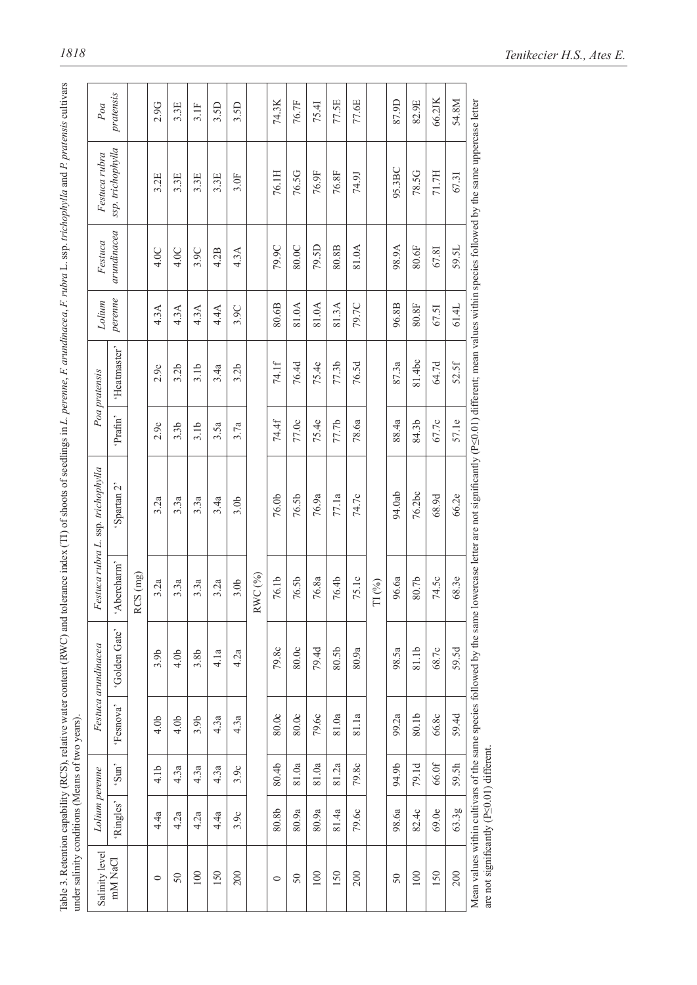| Salinity level                                  | Lolium perenne |                  |                  | Festuca arundinacea                                                     |                    | Festuca rubra L. ssp. trichophylla                                                                                         |                  | Poa pratensis    | Lolium  | Festuca     | Festuca rubra     | Poa       |
|-------------------------------------------------|----------------|------------------|------------------|-------------------------------------------------------------------------|--------------------|----------------------------------------------------------------------------------------------------------------------------|------------------|------------------|---------|-------------|-------------------|-----------|
| mM NaCl                                         | Ringles'       | 'Sun'            | 'Fesnova'        | 'Golden Gate'                                                           | 'Abercharm'        | 'Spartan 2'                                                                                                                | 'Prafin'         | 'Heatmaster'     | perenne | arundinacea | ssp. trichophylla | pratensis |
|                                                 |                |                  |                  |                                                                         | CS(mg)<br>∝        |                                                                                                                            |                  |                  |         |             |                   |           |
| $\circ$                                         | 4.4a           | 4.1 <sub>b</sub> | 4.0 <sub>b</sub> | 3.9b                                                                    | 3.2a               | 3.2a                                                                                                                       | 2.9c             | 2.9c             | 4.3A    | 4.0C        | 3.2E              | 2.9G      |
| 50                                              | 4.2a           | 4.3a             | 4.0 <sub>b</sub> | 4.0 <sub>b</sub>                                                        | 3.3a               | 3.3a                                                                                                                       | 3.3 <sub>b</sub> | 3.2 <sub>b</sub> | 4.3A    | 4.0C        | 3.3E              | 3.3E      |
| 100                                             | 4.2a           | 4.3a             | 3.9b             | 3.8b                                                                    | 3.3a               | 3.3a                                                                                                                       | 3.1 <sub>b</sub> | 3.1 <sub>b</sub> | 4.3A    | 3.9C        | 3.3E              | 3.1F      |
| 150                                             | 4.4a           | 4.3a             | 4.3a             | 4.1a                                                                    | 3.2a               | 3.4a                                                                                                                       | 3.5a             | 3.4a             | 4.4A    | 4.2B        | 3.3E              | 3.5D      |
| 200                                             | 3.9c           | 3.9c             | 4.3a             | 4.2a                                                                    | 3.0 <sub>b</sub>   | 3.0 <sub>b</sub>                                                                                                           | 3.7a             | 3.2 <sub>b</sub> | 3.9C    | 4.3A        | $3.0$ F           | 3.5D      |
|                                                 |                |                  |                  |                                                                         | RWC (%)            |                                                                                                                            |                  |                  |         |             |                   |           |
| $\circ$                                         | 80.8b          | 80.4b            | 80.0c            | 79.8c                                                                   | 76.1b              | 76.0b                                                                                                                      | 74.4f            | 74.1f            | 80.6B   | 79.9C       | 76.1H             | 74.3K     |
| $50\,$                                          | 80.9a          | 81.0a            | 80.0c            | 80.0c                                                                   | 76.5b              | 76.5b                                                                                                                      | 77.0c            | 76.4d            | 81.0A   | 80.0C       | 76.5G             | 76.7F     |
| 100                                             | 80.9a          | 81.0a            | 79.6c            | 79.4d                                                                   | 76.8a              | 76.9a                                                                                                                      | 75.4e            | 75.4e            | 81.0A   | 79.5D       | 76.9F             | 75.41     |
| 150                                             | 81.4a          | 81.2a            | 81.0a            | 80.5b                                                                   | 76.4b              | 77.1a                                                                                                                      | 77.7b            | 77.3b            | 81.3A   | 80.8B       | 76.8F             | 77.5E     |
| 200                                             | 79.6c          | 79.8c            | 81.1a            | 80.9a                                                                   | 75.1c              | 74.7c                                                                                                                      | 78.6a            | 76.5d            | 79.7C   | 81.0A       | <b>74.9J</b>      | 77.6E     |
|                                                 |                |                  |                  |                                                                         | $\Gamma\Gamma$ (%) |                                                                                                                            |                  |                  |         |             |                   |           |
| 50                                              | 98.6a          | 94.9b            | 99.2a            | 98.5a                                                                   | 96.6a              | 94.0ab                                                                                                                     | 88.4a            | 87.3a            | 96.8B   | 98.9A       | 95.3BC            | 87.9D     |
| 100                                             | 82.4c          | 79.1d            | 80.1b            | 81.1b                                                                   | 80.7b              | 76.2bc                                                                                                                     | 84.3b            | 81.4bc           | 80.8F   | 80.6F       | 78.5G             | 82.9E     |
| 150                                             | 69.0e          | 66.0f            | 66.8c            | 68.7c                                                                   | 74.5c              | 68.9d                                                                                                                      | 67.7c            | 64.7d            | 67.51   | 67.81       | 71.7H             | 66.2JK    |
| 200                                             | 63.3g          | 59.5h            | 59.4d            | 59.5d                                                                   | 68.3e              | 66.2e                                                                                                                      | 57.1e            | 52.5f            | 61.4L   | 59.5L       | 67.31             | 54.8M     |
| are not significantly $(P \le 0.01)$ different. |                |                  |                  | Mean values within cultivars of the same species followed by the same I |                    | owercase letter are not significantly (PS0.01) different; mean values within species followed by the same uppercase letter |                  |                  |         |             |                   |           |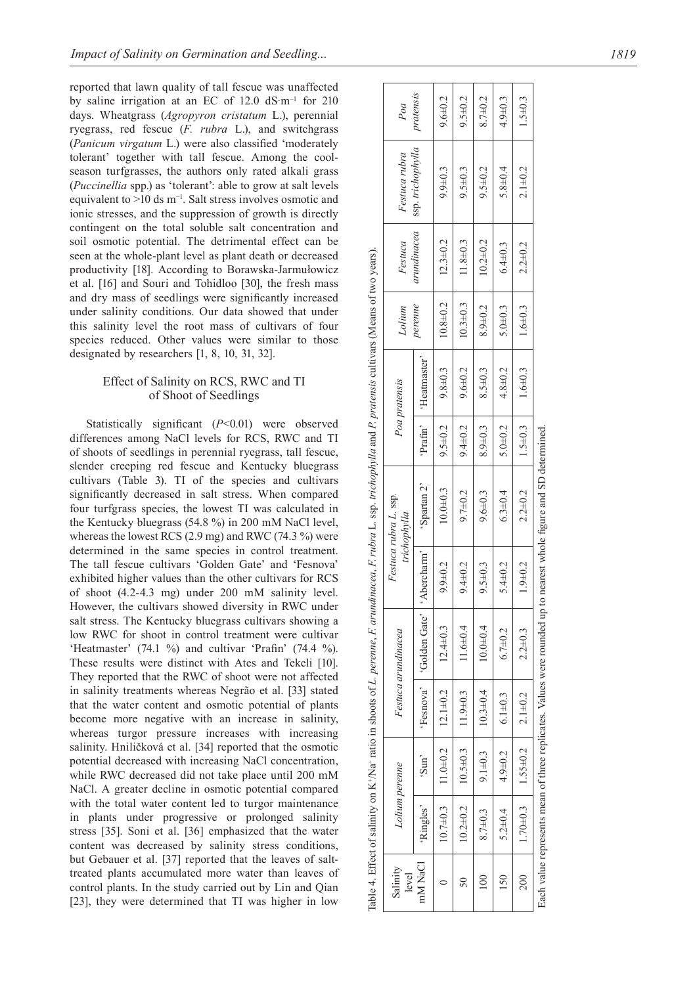reported that lawn quality of tall fescue was unaffected by saline irrigation at an EC of  $12.0 \text{ dS·m}^{-1}$  for  $210$ days. Wheatgrass (*Agropyron cristatum* L.), perennial ryegrass, red fescue (*F. rubra* L.), and switchgrass (*Panicum virgatum* L.) were also classified 'moderately tolerant' together with tall fescue. Among the coolseason turfgrasses, the authors only rated alkali grass (*Puccinellia* spp.) as 'tolerant': able to grow at salt levels equivalent to >10 ds m−1. Salt stress involves osmotic and ionic stresses, and the suppression of growth is directly contingent on the total soluble salt concentration and soil osmotic potential. The detrimental effect can be seen at the whole-plant level as plant death or decreased productivity [18]. According to Borawska-Jarmułowicz et al. [16] and Souri and Tohidloo [30], the fresh mass and dry mass of seedlings were significantly increased under salinity conditions. Our data showed that under this salinity level the root mass of cultivars of four species reduced. Other values were similar to those designated by researchers [1, 8, 10, 31, 32].

# Effect of Salinity on RCS, RWC and TI of Shoot of Seedlings

Statistically significant (*P*<0.01) were observed differences among NaCl levels for RCS, RWC and TI of shoots of seedlings in perennial ryegrass, tall fescue, slender creeping red fescue and Kentucky bluegrass cultivars (Table 3). TI of the species and cultivars significantly decreased in salt stress. When compared four turfgrass species, the lowest TI was calculated in the Kentucky bluegrass (54.8 %) in 200 mM NaCl level, whereas the lowest RCS (2.9 mg) and RWC (74.3 %) were determined in the same species in control treatment. The tall fescue cultivars 'Golden Gate' and 'Fesnova' exhibited higher values than the other cultivars for RCS of shoot (4.2-4.3 mg) under 200 mM salinity level. However, the cultivars showed diversity in RWC under salt stress. The Kentucky bluegrass cultivars showing a low RWC for shoot in control treatment were cultivar 'Heatmaster' (74.1 %) and cultivar 'Prafin' (74.4 %). These results were distinct with Ates and Tekeli [10]. They reported that the RWC of shoot were not affected in salinity treatments whereas Negrão et al. [33] stated that the water content and osmotic potential of plants become more negative with an increase in salinity, whereas turgor pressure increases with increasing salinity. Hniličková et al. [34] reported that the osmotic potential decreased with increasing NaCl concentration, while RWC decreased did not take place until 200 mM NaCl. A greater decline in osmotic potential compared with the total water content led to turgor maintenance in plants under progressive or prolonged salinity stress [35]. Soni et al. [36] emphasized that the water content was decreased by salinity stress conditions, but Gebauer et al. [37] reported that the leaves of salttreated plants accumulated more water than leaves of control plants. In the study carried out by Lin and Qian [23], they were determined that TI was higher in low

|                   |                |                                 |                                 |                                         |               | Table 4. Effect of salinity on K*/Na* ratio in shoots of L. perenne, F. arundinacea, F. rubra L. ssp. trichophylla and P. pratensis cultivars (Means of two years). |               |               |                |                |                   |               |
|-------------------|----------------|---------------------------------|---------------------------------|-----------------------------------------|---------------|---------------------------------------------------------------------------------------------------------------------------------------------------------------------|---------------|---------------|----------------|----------------|-------------------|---------------|
| Salinity<br>level |                | Lolium perenne                  |                                 | Festuca arundinacea                     |               | Festuca rubra L. ssp.<br>trichophylla                                                                                                                               |               | Poa pratensis | Lolium         | Festuca        | Festuca rubra     | Poa           |
| mM NaCl           | 'Ringles'      | $\sum_{i=1}^{n}$                |                                 | 'Fesnova'   'Golden Gate'   'Abercharm' |               | 'Spartan 2'                                                                                                                                                         | 'Prafin'      | 'Heatmaster'  | perenne        | arundinacea    | ssp. trichophylla | pratensis     |
|                   | $10.7\pm0.3$   |                                 | $11.0 \pm 0.2$   $12.1 \pm 0.2$ | $12.4 \pm 0.3$                          | $9.9 + 0.2$   | $10.0 + 0.3$                                                                                                                                                        | $9.5 \pm 0.2$ | $9.8 \pm 0.3$ | $10.8 + 0.2$   | $12.3 \pm 0.2$ | $9.9 + 0.3$       | $9.6 \pm 0.2$ |
|                   |                | $10.2 \pm 0.2$   $10.5 \pm 0.3$ | $11.9 \pm 0.3$                  | $11.6 \pm 0.4$                          | $9.4 \pm 0.2$ | $9.7 + 0.2$                                                                                                                                                         | $9.4 \pm 0.2$ | $9.6 \pm 0.2$ | $10.3 \pm 0.3$ | $11.8 \pm 0.3$ | $9.5 \pm 0.3$     | $9.5 \pm 0.2$ |
| $\frac{1}{2}$     | $8.7\pm0.3$    | $9.1 \pm 0.3$                   | $10.3 \pm 0.4$                  | $10.0 + 0.4$                            | $9.5 \pm 0.3$ | $9.6 \pm 0.3$                                                                                                                                                       | $8.9 \pm 0.3$ | $8.5 + 0.3$   | $8.9 + 0.2$    | $10.2 \pm 0.2$ | $9.5 + 0.2$       | $8.7 + 0.2$   |
| 150               | $5.2 + 0.4$    | $4.9 \pm 0.2$                   | $6.1 \pm 0.3$                   | $6.7 + 0.2$                             | $5.4 \pm 0.2$ | $6.3 \pm 0.4$                                                                                                                                                       | $5.0 + 0.2$   | $4.8 + 0.2$   | $5.0 + 0.3$    | $6.4 \pm 0.3$  | $5.8 + 0.4$       | $4.9 + 0.3$   |
| 200               | $1.70 \pm 0.3$ | $1.55 \pm 0.2$                  | $2.1 + 0.2$                     | $2.2 + 0.3$                             | $1.9 + 0.2$   | $2.2 + 0.2$                                                                                                                                                         | $1.5 \pm 0.3$ | $1.6 + 0.3$   | $1.6 + 0.3$    | $2.2 + 0.2$    | $2.1 + 0.2$       | $1.5 + 0.3$   |
|                   |                |                                 |                                 |                                         |               | Each value represents mean of three replicates. Values were rounded up to nearest whole figure and SD determined                                                    |               |               |                |                |                   |               |

Each value represents mean of three replicates. Values were rounded up to nearest whole figure and SD determined.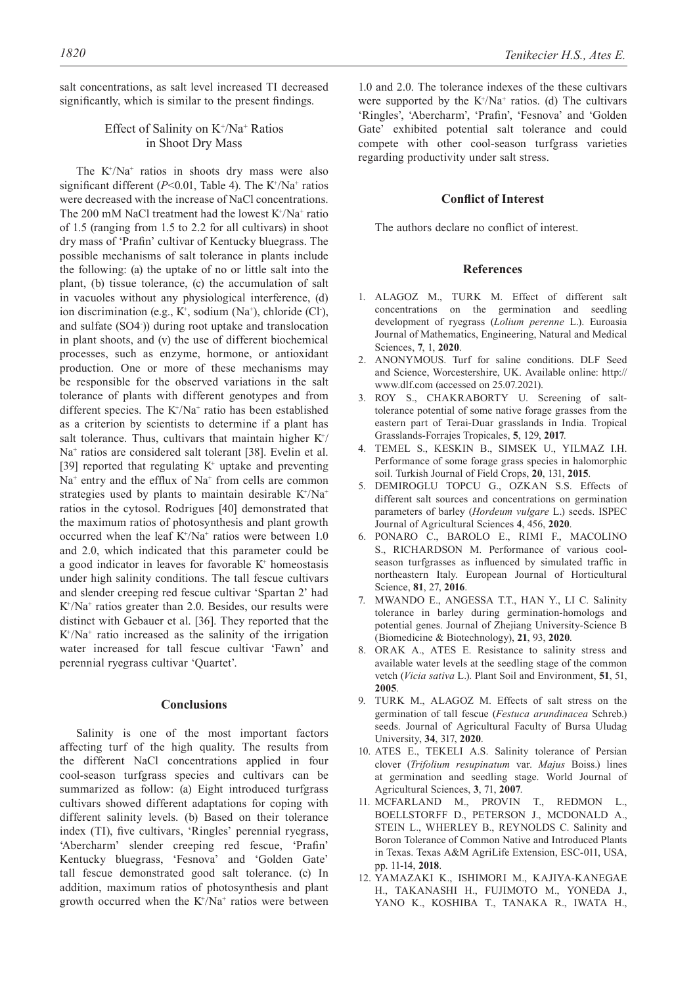salt concentrations, as salt level increased TI decreased significantly, which is similar to the present findings.

# Effect of Salinity on K<sup>+</sup>/Na<sup>+</sup> Ratios in Shoot Dry Mass

The  $K^{\dagger}/Na^{\dagger}$  ratios in shoots dry mass were also significant different  $(P<0.01$ , Table 4). The K<sup>+</sup>/Na<sup>+</sup> ratios were decreased with the increase of NaCl concentrations. The 200 mM NaCl treatment had the lowest  $K^{\dagger}/Na^{\dagger}$  ratio of 1.5 (ranging from 1.5 to 2.2 for all cultivars) in shoot dry mass of 'Prafin' cultivar of Kentucky bluegrass. The possible mechanisms of salt tolerance in plants include the following: (a) the uptake of no or little salt into the plant, (b) tissue tolerance, (c) the accumulation of salt in vacuoles without any physiological interference, (d) ion discrimination (e.g.,  $K^+$ , sodium (Na<sup>+</sup>), chloride (Cl<sup>-</sup>), and sulfate (SO4- )) during root uptake and translocation in plant shoots, and (v) the use of different biochemical processes, such as enzyme, hormone, or antioxidant production. One or more of these mechanisms may be responsible for the observed variations in the salt tolerance of plants with different genotypes and from different species. The  $K^+/Na^+$  ratio has been established as a criterion by scientists to determine if a plant has salt tolerance. Thus, cultivars that maintain higher  $K^+/$ Na<sup>+</sup> ratios are considered salt tolerant [38]. Evelin et al. [39] reported that regulating  $K^+$  uptake and preventing  $Na<sup>+</sup>$  entry and the efflux of  $Na<sup>+</sup>$  from cells are common strategies used by plants to maintain desirable  $K^{\dagger}/Na^{\dagger}$ ratios in the cytosol. Rodrigues [40] demonstrated that the maximum ratios of photosynthesis and plant growth occurred when the leaf  $K^+/Na^+$  ratios were between 1.0 and 2.0, which indicated that this parameter could be a good indicator in leaves for favorable  $K<sup>+</sup>$  homeostasis under high salinity conditions. The tall fescue cultivars and slender creeping red fescue cultivar 'Spartan 2' had K+ /Na+ ratios greater than 2.0. Besides, our results were distinct with Gebauer et al. [36]. They reported that the K+ /Na+ ratio increased as the salinity of the irrigation water increased for tall fescue cultivar 'Fawn' and perennial ryegrass cultivar 'Quartet'.

## **Conclusions**

Salinity is one of the most important factors affecting turf of the high quality. The results from the different NaCl concentrations applied in four cool-season turfgrass species and cultivars can be summarized as follow: (a) Eight introduced turfgrass cultivars showed different adaptations for coping with different salinity levels. (b) Based on their tolerance index (TI), five cultivars, 'Ringles' perennial ryegrass, 'Abercharm' slender creeping red fescue, 'Prafin' Kentucky bluegrass, 'Fesnova' and 'Golden Gate' tall fescue demonstrated good salt tolerance. (c) In addition, maximum ratios of photosynthesis and plant growth occurred when the  $K^{\dagger}/Na^{\dagger}$  ratios were between

1.0 and 2.0. The tolerance indexes of the these cultivars were supported by the  $K^{\dagger}/Na^{\dagger}$  ratios. (d) The cultivars 'Ringles', 'Abercharm', 'Prafin', 'Fesnova' and 'Golden Gate' exhibited potential salt tolerance and could compete with other cool-season turfgrass varieties regarding productivity under salt stress.

# **Conflict of Interest**

The authors declare no conflict of interest.

## **References**

- 1. ALAGOZ M., TURK M. Effect of different salt concentrations on the germination and seedling development of ryegrass (*Lolium perenne* L.). Euroasia Journal of Mathematics, Engineering, Natural and Medical Sciences, **7**, 1, **2020**.
- 2. ANONYMOUS. Turf for saline conditions. DLF Seed and Science, Worcestershire, UK. Available online: http:// www.dlf.com (accessed on 25.07.2021).
- 3. ROY S., CHAKRABORTY U. Screening of salttolerance potential of some native forage grasses from the eastern part of Terai-Duar grasslands in India. Tropical Grasslands-Forrajes Tropicales, **5**, 129, **2017**.
- 4. TEMEL S., KESKIN B., SIMSEK U., YILMAZ I.H. Performance of some forage grass species in halomorphic soil. Turkish Journal of Field Crops, **20**, 131, **2015**.
- 5. DEMIROGLU TOPCU G., OZKAN S.S. Effects of different salt sources and concentrations on germination parameters of barley (*Hordeum vulgare* L.) seeds. ISPEC Journal of Agricultural Sciences **4**, 456, **2020**.
- 6. PONARO C., BAROLO E., RIMI F., MACOLINO S., RICHARDSON M. Performance of various coolseason turfgrasses as influenced by simulated traffic in northeastern Italy. European Journal of Horticultural Science, **81**, 27, **2016**.
- 7. MWANDO E., ANGESSA T.T., HAN Y., LI C. Salinity tolerance in barley during germination-homologs and potential genes. Journal of Zhejiang University-Science B (Biomedicine & Biotechnology), **21**, 93, **2020**.
- 8. ORAK A., ATES E. Resistance to salinity stress and available water levels at the seedling stage of the common vetch (*Vicia sativa* L.). Plant Soil and Environment, **51**, 51, **2005**.
- 9. TURK M., ALAGOZ M. Effects of salt stress on the germination of tall fescue (*Festuca arundinacea* Schreb.) seeds. Journal of Agricultural Faculty of Bursa Uludag University, **34**, 317, **2020**.
- 10. ATES E., TEKELI A.S. Salinity tolerance of Persian clover (*Trifolium resupinatum* var. *Majus* Boiss.) lines at germination and seedling stage. World Journal of Agricultural Sciences, **3**, 71, **2007**.
- 11. MCFARLAND M., PROVIN T., REDMON L., BOELLSTORFF D., PETERSON J., MCDONALD A., STEIN L., WHERLEY B., REYNOLDS C. Salinity and Boron Tolerance of Common Native and Introduced Plants in Texas. Texas A&M AgriLife Extension, ESC-011, USA, pp. 11-14, **2018**.
- 12. YAMAZAKI K., ISHIMORI M., KAJIYA-KANEGAE H., TAKANASHI H., FUJIMOTO M., YONEDA J., YANO K., KOSHIBA T., TANAKA R., IWATA H.,